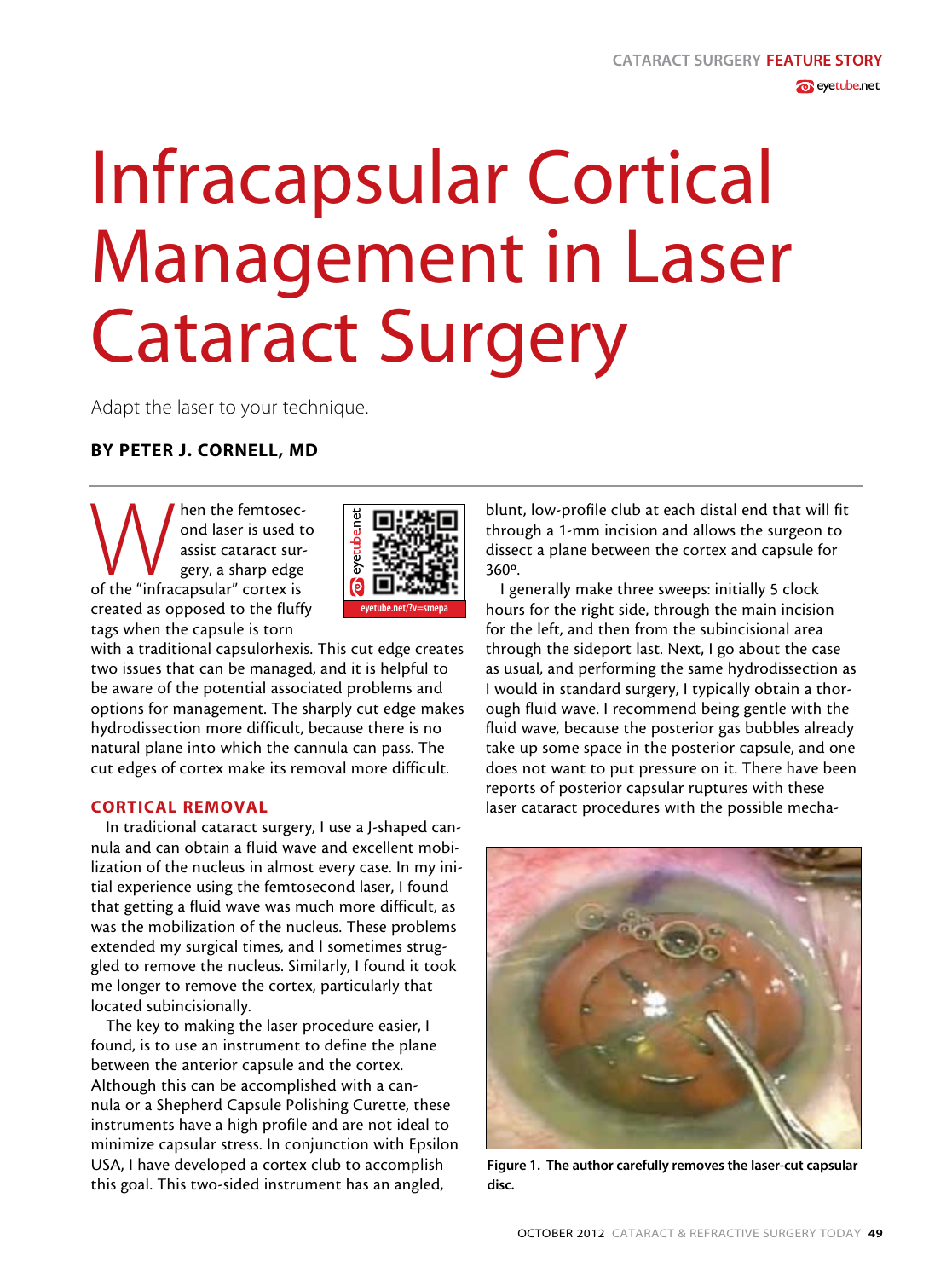# Infracapsular Cortical Management in Laser Cataract Surgery

Adapt the laser to your technique.

## By Peter J. Cornell, MD

When the femtosec-<br>
ond laser is used t<br>
assist cataract sur-<br>
gery, a sharp edge<br>
of the "infracapsular" cortex is ond laser is used to assist cataract surgery, a sharp edge created as opposed to the fluffy tags when the capsule is torn



with a traditional capsulorhexis. This cut edge creates two issues that can be managed, and it is helpful to be aware of the potential associated problems and options for management. The sharply cut edge makes hydrodissection more difficult, because there is no natural plane into which the cannula can pass. The cut edges of cortex make its removal more difficult.

#### CORTICAL REMOVAL

In traditional cataract surgery, I use a J-shaped cannula and can obtain a fluid wave and excellent mobilization of the nucleus in almost every case. In my initial experience using the femtosecond laser, I found that getting a fluid wave was much more difficult, as was the mobilization of the nucleus. These problems extended my surgical times, and I sometimes struggled to remove the nucleus. Similarly, I found it took me longer to remove the cortex, particularly that located subincisionally.

The key to making the laser procedure easier, I found, is to use an instrument to define the plane between the anterior capsule and the cortex. Although this can be accomplished with a cannula or a Shepherd Capsule Polishing Curette, these instruments have a high profile and are not ideal to minimize capsular stress. In conjunction with Epsilon USA, I have developed a cortex club to accomplish this goal. This two-sided instrument has an angled,

blunt, low-profile club at each distal end that will fit through a 1-mm incision and allows the surgeon to dissect a plane between the cortex and capsule for 360º.

I generally make three sweeps: initially 5 clock hours for the right side, through the main incision for the left, and then from the subincisional area through the sideport last. Next, I go about the case as usual, and performing the same hydrodissection as I would in standard surgery, I typically obtain a thorough fluid wave. I recommend being gentle with the fluid wave, because the posterior gas bubbles already take up some space in the posterior capsule, and one does not want to put pressure on it. There have been reports of posterior capsular ruptures with these laser cataract procedures with the possible mecha-



Figure 1. The author carefully removes the laser-cut capsular disc.